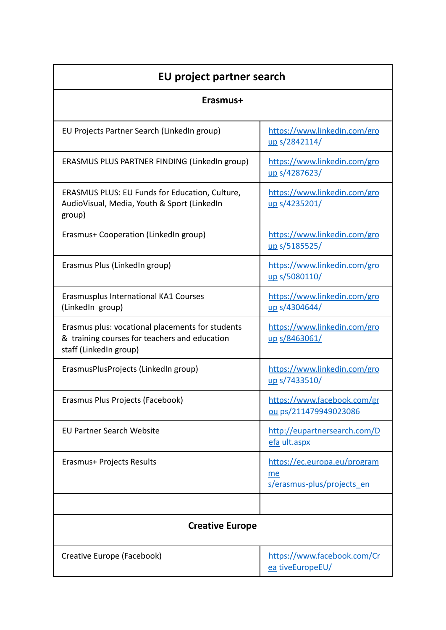| EU project partner search                                                                                                   |                                                                  |  |
|-----------------------------------------------------------------------------------------------------------------------------|------------------------------------------------------------------|--|
| Erasmus+                                                                                                                    |                                                                  |  |
| EU Projects Partner Search (LinkedIn group)                                                                                 | https://www.linkedin.com/gro<br>up s/2842114/                    |  |
| ERASMUS PLUS PARTNER FINDING (LinkedIn group)                                                                               | https://www.linkedin.com/gro<br>up s/4287623/                    |  |
| ERASMUS PLUS: EU Funds for Education, Culture,<br>AudioVisual, Media, Youth & Sport (LinkedIn<br>group)                     | https://www.linkedin.com/gro<br>up s/4235201/                    |  |
| Erasmus+ Cooperation (LinkedIn group)                                                                                       | https://www.linkedin.com/gro<br>up s/5185525/                    |  |
| Erasmus Plus (LinkedIn group)                                                                                               | https://www.linkedin.com/gro<br>up s/5080110/                    |  |
| Erasmusplus International KA1 Courses<br>(LinkedIn group)                                                                   | https://www.linkedin.com/gro<br>up s/4304644/                    |  |
| Erasmus plus: vocational placements for students<br>& training courses for teachers and education<br>staff (LinkedIn group) | https://www.linkedin.com/gro<br>up s/8463061/                    |  |
| ErasmusPlusProjects (LinkedIn group)                                                                                        | https://www.linkedin.com/gro<br>up s/7433510/                    |  |
| Erasmus Plus Projects (Facebook)                                                                                            | https://www.facebook.com/gr<br>ou ps/211479949023086             |  |
| <b>EU Partner Search Website</b>                                                                                            | http://eupartnersearch.com/D<br>efa ult.aspx                     |  |
| Erasmus+ Projects Results                                                                                                   | https://ec.europa.eu/program<br>me<br>s/erasmus-plus/projects_en |  |
|                                                                                                                             |                                                                  |  |
| <b>Creative Europe</b>                                                                                                      |                                                                  |  |
| Creative Europe (Facebook)                                                                                                  | https://www.facebook.com/Cr<br>ea tiveEuropeEU/                  |  |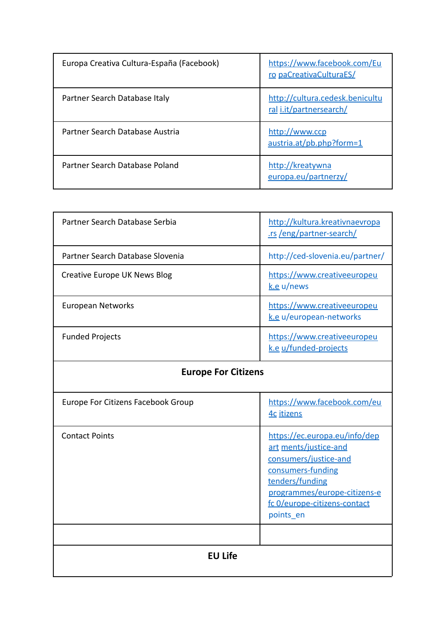| Europa Creativa Cultura-España (Facebook) | https://www.facebook.com/Eu<br>ro paCreativaCulturaES/     |
|-------------------------------------------|------------------------------------------------------------|
| Partner Search Database Italy             | http://cultura.cedesk.benicultu<br>ral i.it/partnersearch/ |
| Partner Search Database Austria           | http://www.ccp<br>austria.at/pb.php?form=1                 |
| Partner Search Database Poland            | http://kreatywna<br>europa.eu/partnerzy/                   |

| Partner Search Database Serbia   | http://kultura.kreativnaevropa<br>.rs /eng/partner-search/ |
|----------------------------------|------------------------------------------------------------|
| Partner Search Database Slovenia | http://ced-slovenia.eu/partner/                            |
| Creative Europe UK News Blog     | https://www.creativeeuropeu<br>$k.e$ u/news                |
| European Networks                | https://www.creativeeuropeu<br>k.e u/european-networks     |
| <b>Funded Projects</b>           | https://www.creativeeuropeu<br>k.e u/funded-projects       |

## **Europe For Citizens**

| Europe For Citizens Facebook Group | https://www.facebook.com/eu<br>4c itizens                                                                                                                                                            |
|------------------------------------|------------------------------------------------------------------------------------------------------------------------------------------------------------------------------------------------------|
| <b>Contact Points</b>              | https://ec.europa.eu/info/dep<br>art ments/justice-and<br>consumers/justice-and<br>consumers-funding<br>tenders/funding<br>programmes/europe-citizens-e<br>fc O/europe-citizens-contact<br>points en |
|                                    |                                                                                                                                                                                                      |
| <b>EU Life</b>                     |                                                                                                                                                                                                      |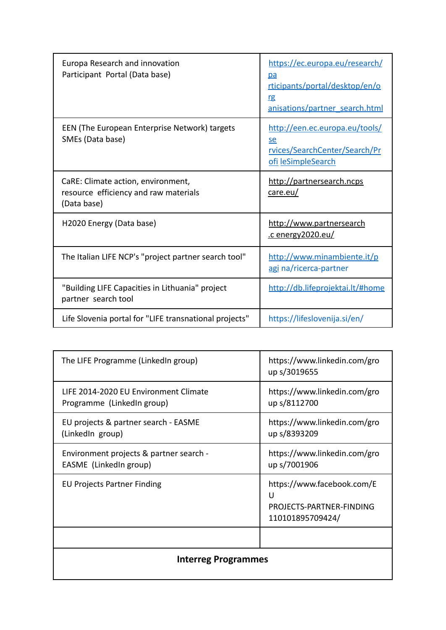| Europa Research and innovation<br>Participant Portal (Data base)                           | https://ec.europa.eu/research/<br>pa<br>rticipants/portal/desktop/en/o<br>rg<br>anisations/partner search.html |
|--------------------------------------------------------------------------------------------|----------------------------------------------------------------------------------------------------------------|
| EEN (The European Enterprise Network) targets<br>SMEs (Data base)                          | http://een.ec.europa.eu/tools/<br>se<br>rvices/SearchCenter/Search/Pr<br>ofi leSimpleSearch                    |
| CaRE: Climate action, environment,<br>resource efficiency and raw materials<br>(Data base) | http://partnersearch.ncps<br>care.eu/                                                                          |
| H2020 Energy (Data base)                                                                   | http://www.partnersearch<br>.c energy 2020.eu/                                                                 |
| The Italian LIFE NCP's "project partner search tool"                                       | http://www.minambiente.it/p<br>agi na/ricerca-partner                                                          |
| "Building LIFE Capacities in Lithuania" project<br>partner search tool                     | http://db.lifeprojektai.lt/#home                                                                               |
| Life Slovenia portal for "LIFE transnational projects"                                     | https://lifeslovenija.si/en/                                                                                   |

| <b>Interreg Programmes</b>                                          |                                                                                 |
|---------------------------------------------------------------------|---------------------------------------------------------------------------------|
|                                                                     |                                                                                 |
| <b>EU Projects Partner Finding</b>                                  | https://www.facebook.com/E<br>U<br>PROJECTS-PARTNER-FINDING<br>110101895709424/ |
| Environment projects & partner search -<br>EASME (LinkedIn group)   | https://www.linkedin.com/gro<br>up s/7001906                                    |
| EU projects & partner search - EASME<br>(LinkedIn group)            | https://www.linkedin.com/gro<br>up s/8393209                                    |
| LIFE 2014-2020 EU Environment Climate<br>Programme (LinkedIn group) | https://www.linkedin.com/gro<br>up s/8112700                                    |
| The LIFE Programme (LinkedIn group)                                 | https://www.linkedin.com/gro<br>up s/3019655                                    |